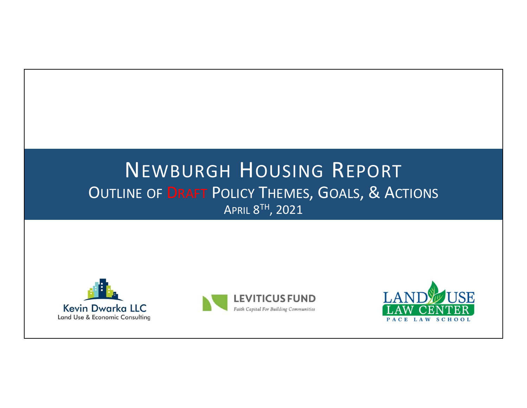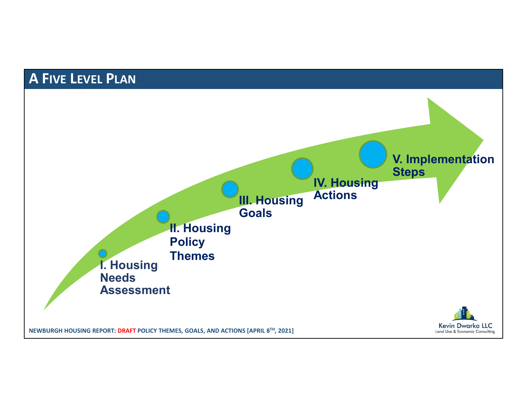# A FIVE LEVEL PLAN

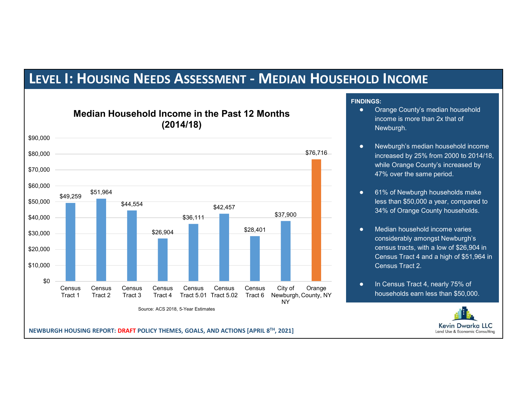## LEVEL I: HOUSING NEEDS ASSESSMENT - MEDIAN HOUSEHOLD INCOME



#### FINDINGS:

- Orange County's median household income is more than 2x that of Newburgh.
- Newburgh's median household income increased by 25% from 2000 to 2014/18, \$76,716 while Orange County's increased by 47% over the same period.
	- 61% of Newburgh households make less than \$50,000 a year, compared to 34% of Orange County households.
	- Median household income varies considerably amongst Newburgh's census tracts, with a low of \$26,904 in Census Tract 4 and a high of \$51,964 in Census Tract 2.
- In Census Tract 4, nearly 75% of Orange and the concess than  $\frac{1}{2}$  or the concess of the concess than \$50,000. County, NY Thouseholds earn less than \$50,00

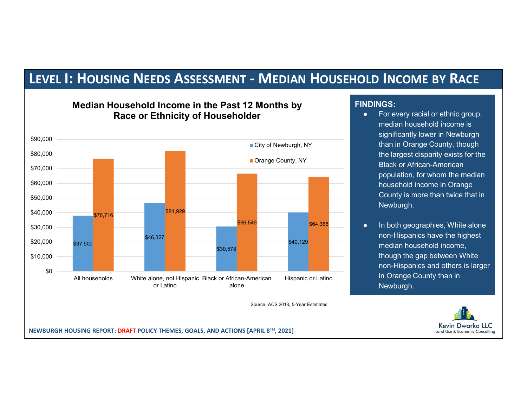# LEVEL 1: HOUSING NEEDS ASSESSMENT - MEDIAN HOUSEHOLD INCOME BY RACE<br>Median Household Income in the Past 12 Months by<br>Race or Ethnicity of Householder<br>Median household income is<br>median household income is



#### Median Household Income in the Past 12 Months by Race or Ethnicity of Householder

#### FINDINGS:

- **DLD INCOME BY RACE**<br> **NDINGS:**<br>
For every racial or ethnic group,<br>
median household income is<br>
significantly lower in Newburgh<br>
than in Orange County, though<br>
the largest disparity exists for the median household income is significantly lower in Newburgh City of Newburgh, NY **Contains than in Orange County**, though the largest disparity exists for the Black or African-American population, for whom the median household income in Orange County is more than twice that in Newburgh. **DID INCOME BY RACE**<br>
• For every racial or ethnic group,<br>
median household income is<br>
significantly lower in Newburgh<br>
than in Orange County, though<br>
the largest disparity exists for the<br>
Black or African-American<br>
popula
	- non-Hispanics have the highest median household income, \$40,129 though the gap between White non-Hispanics and others is larger in Orange County than in Newburgh.

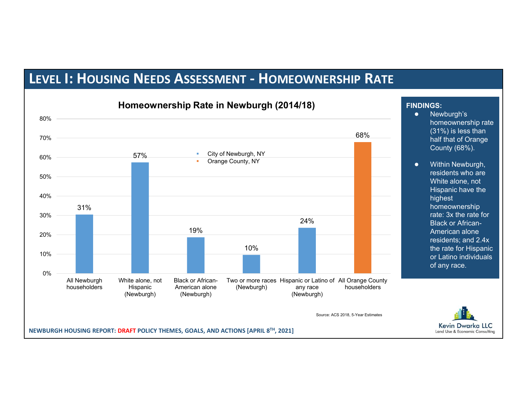# LEVEL I: HOUSING NEEDS ASSESSMENT - HOMEOWNERSHIP RATE



#### FINDINGS:

- $\frac{68\%}{\%}$  half that of Orange ● Newburgh's homeownership rate (31%) is less than County (68%).
	- Within Newburgh, residents who are White alone, not Hispanic have the highest homeownership rate: 3x the rate for American alone residents; and 2.4x the rate for Hispanic or Latino individuals of any race.

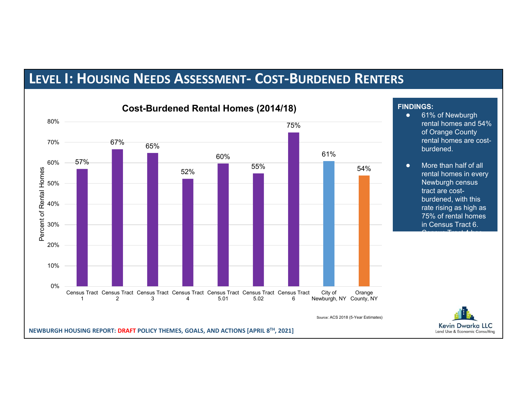# LEVEL I: HOUSING NEEDS ASSESSMENT- COST-BURDENED RENTERS



#### FINDINGS:

- 61% of Newburgh of Orange County rental homes are costburdened.
- rental homes in every Newburgh census tract are costburdened, with this rate rising as high as 75% of rental homes in Census Tract 6.  $\sim$   $\sim$   $\sim$   $\sim$   $\sim$   $\sim$   $\sim$   $\sim$  $54\%$   $\bullet$  More than half of all  $\bullet$



at 52%.

the lowest cost burden rate for rental homes,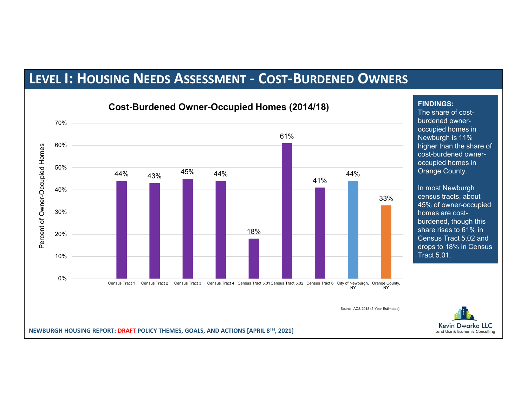## LEVEL I: HOUSING NEEDS ASSESSMENT - COST-BURDENED OWNERS



#### Cost-Burdened Owner-Occupied Homes (2014/18)

The share of costburdened owneroccupied homes in higher than the share of cost-burdened owneroccupied homes in

FINDINGS:

In most Newburgh census tracts, about 33% 45% of owner-occupied homes are costburdened, though this share rises to 61% in Census Tract 5.02 and drops to 18% in Census Tract 5.01.

Land Use & Economic Consulting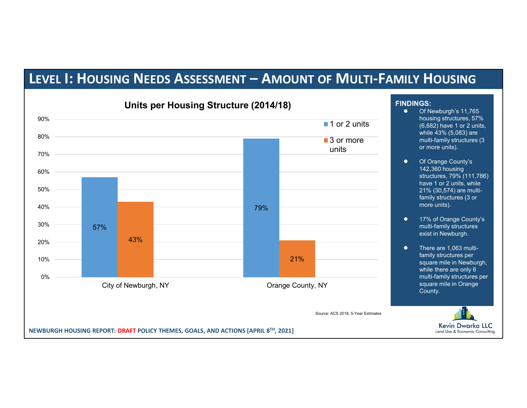

#### FINDINGS:

- Of Newburgh's 11,765 housing structures, 57%  $\begin{array}{ccc} \text{1 or 2 units} & \text{6,682} \text{ have 1 or 2 units,} \end{array}$ while 43% (5,083) are **3 or more 19 or multi-family structures (3 COV)** or more units).
	- Of Orange County's 142,360 housing structures, 79% (111,786) have 1 or 2 units, while 21% (30,574) are multifamily structures (3 or more units).
	- 17% of Orange County's multi-family structures exist in Newburgh.
	- There are 1,063 multifamily structures per while there are only 6 multi-family structures per square mile in Orange County.

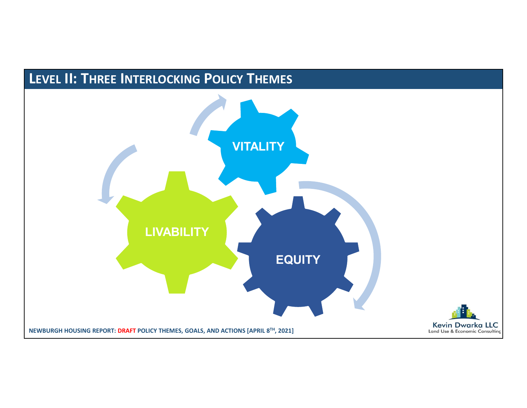# LEVEL II: THREE INTERLOCKING POLICY THEMES

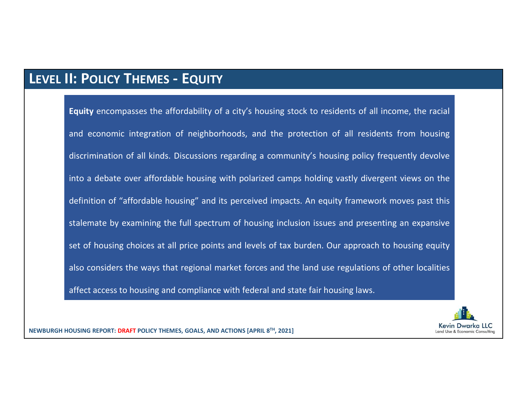## LEVEL II: POLICY THEMES - EQUITY

**Exercise SECT THEMES - EQUITY**<br>Equity encompasses the affordability of a city's housing stock to residents of all income, the racial<br>and economic integration of neighborhoods, and the protection of all residents from hous **1: POLICY THEMES – EQUITY**<br>Equity encompasses the affordability of a city's housing stock to residents of all income, the racial<br>and economic integration of neighborhoods, and the protection of all residents from housing<br> **1: POLICY THEMES – EQUITY**<br>Equity encompasses the affordability of a city's housing stock to residents of all income, the racial<br>and economic integration of neighborhoods, and the protection of all residents from housing<br> **i: POLICY THEMES – EQUITY**<br>Equity encompasses the affordability of a city's housing stock to residents of all income, the racial<br>and economic integration of neighborhoods, and the protection of all residents from housing<br> **Equity** encompasses the affordability of a city's housing stock to residents of all income, the racial<br>and economic integration of neighborhoods, and the protection of all residents from housing<br>discrimination of all kind **I: POLICY THEMES - EQUITY**<br> **Equity** encompasses the affordability of a city's housing stock to residents of all income, the racial<br>
and economic integration of neighborhoods, and the protection of all residents from hous **Equity** encompasses the affordability of a city's housing stock to residents of all income, the racial<br>and economic integration of neighborhoods, and the protection of all residents from housing<br>discrimination of all kind Equity encompasses the affordability of a city's housing stock to residents of all income, the racial<br>and economic integration of neighborhoods, and the protection of all residents from housing<br>discrimination of all kinds. and economic integration of neighborhoods, and the protection of all residents from housing<br>discrimination of all kinds. Discussions regarding a community's housing policy frequently devolve<br>into a debate over affordable h

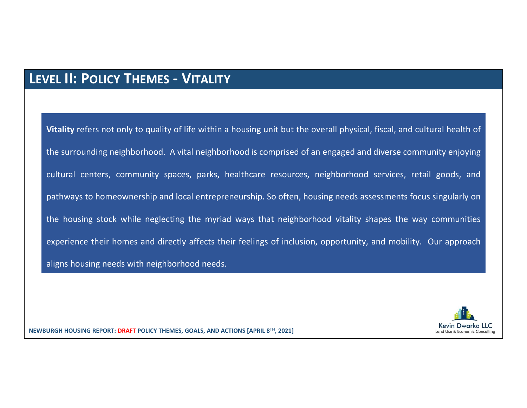#### LEVEL II: POLICY THEMES - VITALITY

Vitality refers not only to quality of life within a housing unit but the overall physical, fiscal, and cultural health of<br>Vitality refers not only to quality of life within a housing unit but the overall physical, fiscal, THE SURVITHE SHOT THE SURVITHE STATE SURVITHEN USE THE SURVITHEN VITHEN SURVITHEN SURVITHEN SURVITHEN SURVITHEN<br>The surrounding neighborhood. A vital neighborhood is comprised of an engaged and diverse community enjoying<br>c **CEL 11: POLICY THEMES – VITALITY**<br>Vitality refers not only to quality of life within a housing unit but the overall physical, fiscal, and cultural health of<br>the surrounding neighborhood. A vital neighborhood is comprised Vitality refers not only to quality of life within a housing unit but the overall physical, fiscal, and cultural health of<br>the surrounding neighborhood. A vital neighborhood is comprised of an engaged and diverse community **THEMES - VITALITY**<br>Vitality refers not only to quality of life within a housing unit but the overall physical, fiscal, and cultural health of<br>the surrounding neighborhood. A vital neighborhood is comprised of an engaged a VEL 11: POLICY THEMES – VITALITY<br>Vitality refers not only to quality of life within a housing unit but the overall physical, fiscal, and cultural health of<br>the surrounding neighborhood. A vital neighborhood is comprised of Vitality refers not only to quality of life within a housing unit but the overall physical, fiscal, and c<br>the surrounding neighborhood. A vital neighborhood is comprised of an engaged and diverse com<br>cultural centers, comm

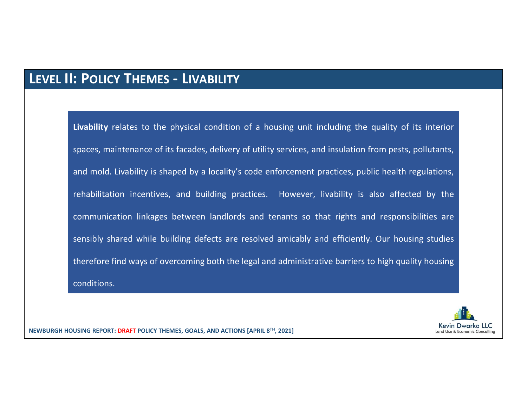#### LEVEL II: POLICY THEMES - LIVABILITY

**: POLICY THEMES – LIVABILITY**<br>Livability relates to the physical condition of a housing unit including the quality of its interior<br>spaces, maintenance of its facades, delivery of utility services, and insulation from pest **SPOLICY THEMES – LIVABILITY**<br>Livability relates to the physical condition of a housing unit including the quality of its interior<br>spaces, maintenance of its facades, delivery of utility services, and insulation from pests **2 POLICY THEMES – LIVABILITY**<br>Livability relates to the physical condition of a housing unit including the quality of its interior<br>spaces, maintenance of its facades, delivery of utility services, and insulation from pest **: POLICY THEMES – LIVABILITY**<br>Livability relates to the physical condition of a housing unit including the quality of its interior<br>spaces, maintenance of its facades, delivery of utility services, and insulation from pest **: POLICY THEMES – LIVABILITY**<br>Livability relates to the physical condition of a housing unit including the quality of its interior<br>spaces, maintenance of its facades, delivery of utility services, and insulation from pest **: POLICY THEMES – LIVABILITY**<br>Livability relates to the physical condition of a housing unit including the quality of its interior<br>spaces, maintenance of its facades, delivery of utility services, and insulation from pest Livability relates to the physical condition of a housing unit including the quality of its interior<br>spaces, maintenance of its facades, delivery of utility services, and insulation from pests, pollutants,<br>and mold. Livabi conditions.

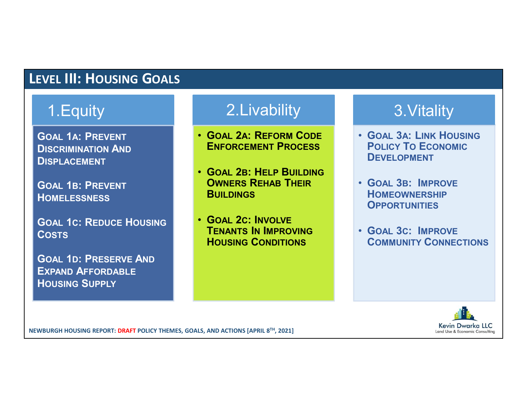# LEVEL III: HOUSING GOALS

# 1.Equity

GOAL 1A: PREVENT DISCRIMINATION AND DISPLACEMENT

GOAL 1B: PREVENT **HOMELESSNESS** 

GOAL 1C: REDUCE HOUSING **COSTS** 

GOAL 1D: PRESERVE AND EXPAND AFFORDABLE HOUSING SUPPLY

# 2.Livability

- GOAL 2A: REFORM CODE ENFORCEMENT PROCESS
- GOAL 2B: HELP BUILDING OWNERS REHAB THEIR **BUILDINGS**
- GOAL 2C: INVOLVE TENANTS IN IMPROVING HOUSING CONDITIONS

# 3.Vitality

- GOAL 3A: LINK HOUSING POLICY TO ECONOMIC DEVELOPMENT
- GOAL 3B: IMPROVE **HOMEOWNERSHIP OPPORTUNITIES**
- GOAL 3C: IMPROVE COMMUNITY CONNECTIONS

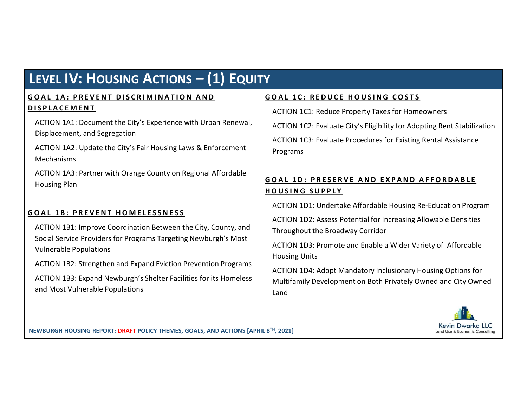# LEVEL IV: HOUSING ACTIONS – (1) EQUITY

**LEVEL IV: HOUSING ACTIONS – (1) EQUITY**<br> **GOAL 1A: PREVENT DISCRIMINATION AND**<br> **GOAL 1C: REDUCE HOUSING COSTS**<br>
ACTION 1A1: Document the City's Experience with Urban Renewal,<br>
Displacement, and Segregation (ACTION 1C2: E **LEVEL IV: HOUSING ACTIONS – (1) EQUITY**<br> **GOAL 1A: PREVENT DISCRIMINATION AND**<br> **DISPLACEMENT**<br>
ACTION 1A1: Document the City's Experience with Urban Renewal,<br>
Displacement, and Segregation<br>
ACTION 1A2: Update the City's ACTION 1A1: Document the City's Experience with Urban Renewal, Displacement, and Segregation

ACTION 1A2: Update the City's Fair Housing Laws & Enforcement Mechanisms

ACTION 1A3: Partner with Orange County on Regional Affordable<br> **GOAL 1D: PRESERVE AND EXPAND AFFORDABLE** Housing Plan

**LEVEL IV: HOUSING ACTIONS – (1) EQUITY**<br> **GOAL 12:** REDUCE HOUSING CONSING ACTION INCENSING ACTION INCENSING ACTION INCENSING ACTOR INCENSING ACTOR INCENSING ACTOR INCENSING ACTOR INCENSING ACTOR INCENSING ACTOR INCENSING ACTION 1B1: Improve Coordination Between the City, County, and Social Service Providers for Programs Targeting Newburgh's Most Vulnerable Populations

ACTION 1B2: Strengthen and Expand Eviction Prevention Programs

ACTION 1B3: Expand Newburgh's Shelter Facilities for its Homeless and Most Vulnerable Populations

ACTION 1C1: Reduce Property Taxes for Homeowners

**SCAL 1C: REDUCE HOUSING COSTS<br>ACTION 1C1: Reduce Property Taxes for Homeowners<br>ACTION 1C2: Evaluate City's Eligibility for Adopting Rent Stabilization<br>ACTION 1C3: Evaluate Procedures for Existing Rental Assistance** ACTION 1C2: Evaluate City's Eligibility for Adopting Rent Stabilization ACTION 1C3: Evaluate Procedures for Existing Rental Assistance Programs **GOAL 1C: REDUCE HOUSING COSTS**<br>ACTION 1C1: Reduce Property Taxes for Homeowners<br>ACTION 1C2: Evaluate City's Eligibility for Adopting Rent Stabilization<br>ACTION 1C3: Evaluate Procedures for Existing Rental Assistance<br>Progra **SOAL 1C: REDUCE HOUSING COSTS**<br>
ACTION 1C1: Reduce Property Taxes for Homeowners<br>
ACTION 1C2: Evaluate City's Eligibility for Adopting Rent Stabilization<br>
ACTION 1C3: Evaluate Procedures for Existing Rental Assistance<br>
Pr

ACTION 1D1: Undertake Affordable Housing Re-Education Program

ACTION 1D2: Assess Potential for Increasing Allowable Densities Throughout the Broadway Corridor

ACTION 1D3: Promote and Enable a Wider Variety of Affordable Housing Units

ACTION 1D4: Adopt Mandatory Inclusionary Housing Options for Multifamily Development on Both Privately Owned and City Owned Land

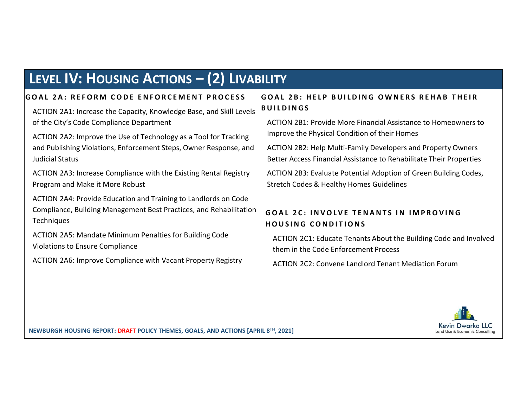# LEVEL IV: HOUSING ACTIONS – (2) LIVABILITY

**LEVEL IV: HOUSING ACTIONS – (2) LIVABILITY**<br>
GOAL 2A: REFORM CODE ENFORCEMENT PROCESS GOAL 2B: HELP BUILDING OWNERS REHAB TI<br>
ACTION 2A1: Increase the Capacity, Knowledge Base, and Skill Levels BUILDINGS<br>
of the City's C ACTION 2A1: Increase the Capacity, Knowledge Base, and Skill Levels BUILDINGS of the City's Code Compliance Department

ACTION 2A2: Improve the Use of Technology as a Tool for Tracking and Publishing Violations, Enforcement Steps, Owner Response, and Judicial Status

ACTION 2A3: Increase Compliance with the Existing Rental Registry Program and Make it More Robust

ACTION 2A4: Provide Education and Training to Landlords on Code Compliance, Building Management Best Practices, and Rehabilitation GOAL 2C: INVOLVE TENANTS IN IMPROVING **Techniques** 

ACTION 2A5: Mandate Minimum Penalties for Building Code Violations to Ensure Compliance

ACTION 2A6: Improve Compliance with Vacant Property Registry

**ILITY**<br>GOAL 2B: HELP BUILDING OWNERS REHAB THEIR<br>BUILDINGS<br>ACTION 2B1: Provide More Financial Assistance to Homeowners to<br>Improve the Physical Condition of their Homes<br>ACTION 2B2: Usla Multi Family Davelages and Pracety Q **ILITY**<br> **GOAL 2B: HELP BUILDING OWNERS REHAB THEIR**<br> **BUILDINGS**<br>
ACTION 2B1: Provide More Financial Assistance to Homeowners to<br>
Improve the Physical Condition of their Homes<br>
ACTION 2B2: Help Multi-Family Developers and ACTION 2B1: Provide More Financial Assistance to Homeowners to Improve the Physical Condition of their Homes

ACTION 2B2: Help Multi-Family Developers and Property Owners Better Access Financial Assistance to Rehabilitate Their Properties

ACTION 2B3: Evaluate Potential Adoption of Green Building Codes, Stretch Codes & Healthy Homes Guidelines

**LITY**<br>
COAL 2B: HELP BUILDING OWNERS REHAB THEIR<br>
CILDINGS<br>
ACTION 2B1: Provide More Financial Assistance to Homeowners to<br>
Improve the Physical Condition of their Homes<br>
ACTION 2B2: Help Multi-Family Developers and Prope **LITY**<br>
1992 - HELP BUILDING OWNERS REHAB THEIR<br>
1993 - HELP BUILDING OWNERS REHAB THEIR<br>
1997 ACTION 281: Provide More Financial Assistance to Homeowners to<br>
1997 - ACTION 282: Help Multi-Family Developers and Property Ow ACTION 2C1: Educate Tenants About the Building Code and Involved them in the Code Enforcement Process

ACTION 2C2: Convene Landlord Tenant Mediation Forum

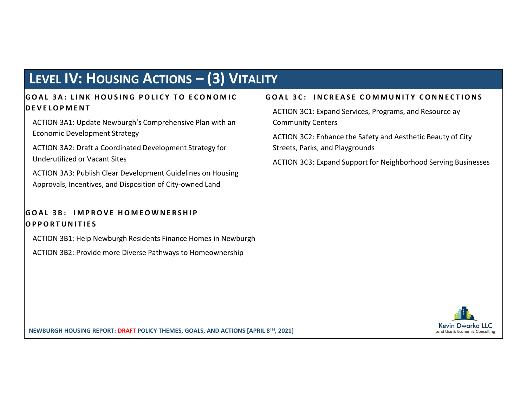# LEVEL IV: HOUSING ACTIONS – (3) VITALITY

# **LEVEL IV: HOUSING ACTIONS – (3) VITALITY**<br>
GOAL 3A: LINK HOUSING POLICY TO ECONOMIC<br>
DEVELOPMENT<br>
ACTION 3A1: Update Newburgh's Comprehensive Plan with an<br>
ECONOMIC Development Strategy<br>
ECONOMIC Development Strategy<br>
ECO **LEVEL IV: HOUSING ACTIONS – (3) VITALITY**<br>
GOAL 3A: LINK HOUSING POLICY TO ECONOMIC<br>
DEVELOPMENT<br>
ACTION 3A1: Update Newburgh's Comprehensive Plan with an<br>
Economic Development Strategy<br>
ACTION 3A2: Draft a Coordinated De **LEVEL IV: HOUSING ACTIONS — (3) VITALITY**<br>
GOAL 3A: LINK HOUSING POLICY TO ECONOMIC<br>
SCITION 3C1: Expand Services, Programs, and<br>
ACTION 3C1: Expand Services, Programs, and<br>
Economic Development Strategy<br>
ACTION 3C2: Enha **LEVEL IV: HOUSING ACTIONS — (3) VITALITY**<br> **SOAL 3A:** LINK HOUSING POLICY TO ECONOMIC GOAL 3C:<br>
DEVELOPMENT<br>
ACTION 3A1: Update Newburgh's Comprehensive Plan with an<br>
Economic Development Strategy for ACTION 3C:<br>
ACTION 3

ACTION 3A1: Update Newburgh's Comprehensive Plan with an Economic Development Strategy

ACTION 3A2: Draft a Coordinated Development Strategy for Underutilized or Vacant Sites

ACTION 3A3: Publish Clear Development Guidelines on Housing Approvals, Incentives, and Disposition of City-owned Land

ACTION 3B1: Help Newburgh Residents Finance Homes in Newburgh

ACTION 3B2: Provide more Diverse Pathways to Homeownership

**TY**<br> **GOAL 3C: INCREASE COMMUNITY CONNECTIONS**<br>
ACTION 3C1: Expand Services, Programs, and Resource ay<br>
Community Centers<br>
ACTION 3C2: Enhance the Safety and Aesthetic Beauty of City<br>
Streats Darks and Blaursourds ACTION 3C1: Expand Services, Programs, and Resource ay Community Centers

ACTION 3C2: Enhance the Safety and Aesthetic Beauty of City Streets, Parks, and Playgrounds

ACTION 3C3: Expand Support for Neighborhood Serving Businesses